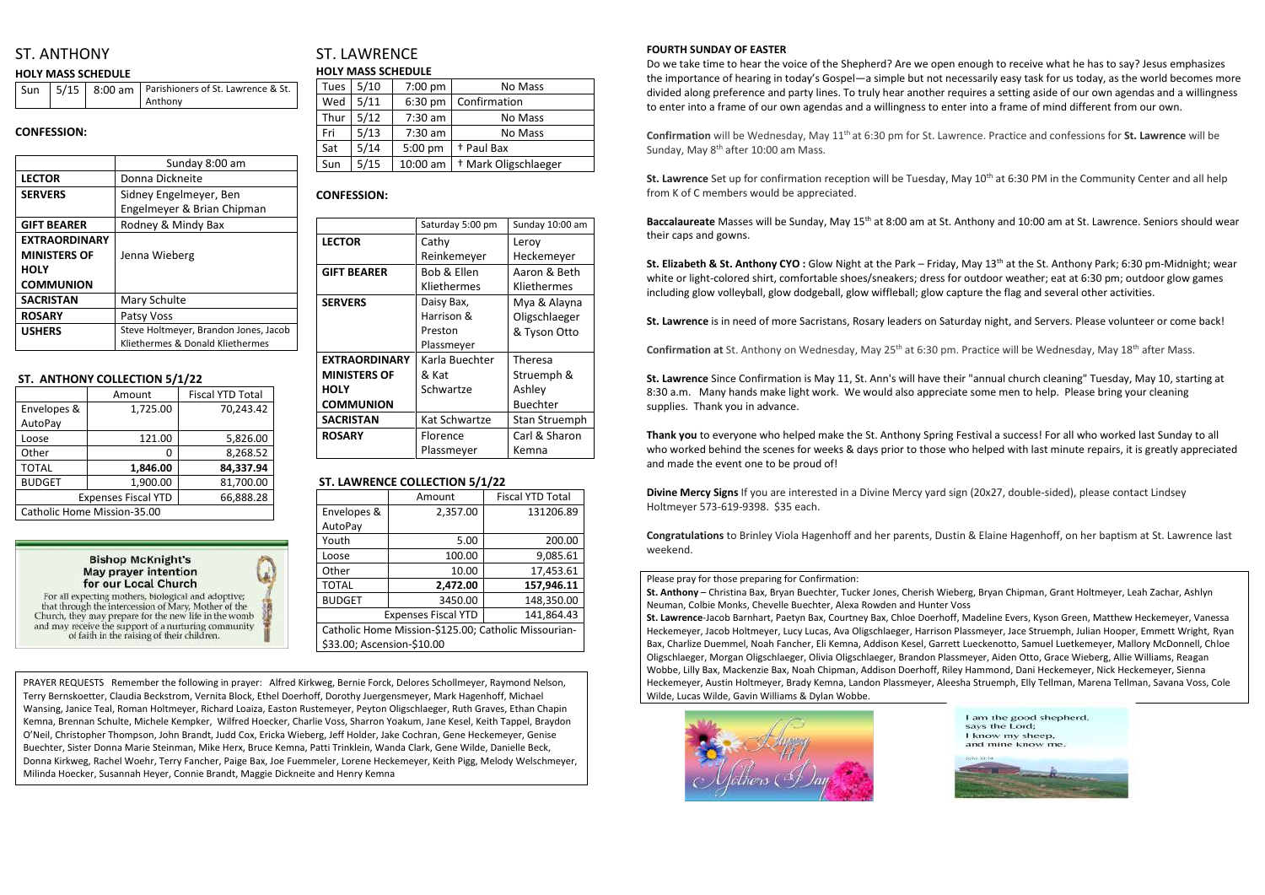# ST. ANTHONY

#### **HOLY MASS SCHEDULE**

|  | Sun   5/15   8:00 am   Parishioners of St. Lawrence & St. |
|--|-----------------------------------------------------------|
|  | Anthony                                                   |

#### **CONFESSION:**

|                      | Sunday 8:00 am                        |  |
|----------------------|---------------------------------------|--|
| <b>LECTOR</b>        | Donna Dickneite                       |  |
| <b>SERVERS</b>       | Sidney Engelmeyer, Ben                |  |
|                      | Engelmeyer & Brian Chipman            |  |
| <b>GIFT BEARER</b>   | Rodney & Mindy Bax                    |  |
| <b>EXTRAORDINARY</b> |                                       |  |
| <b>MINISTERS OF</b>  | Jenna Wieberg                         |  |
| <b>HOLY</b>          |                                       |  |
| <b>COMMUNION</b>     |                                       |  |
| <b>SACRISTAN</b>     | Mary Schulte                          |  |
| <b>ROSARY</b>        | Patsy Voss                            |  |
| <b>USHERS</b>        | Steve Holtmeyer, Brandon Jones, Jacob |  |
|                      | Kliethermes & Donald Kliethermes      |  |

# ST. LAWRENCE **HOLY MASS SCHEDULE**

#### **ST. ANTHONY COLLECTION 5/1/22**

|                             | Amount    | <b>Fiscal YTD Total</b> |  |
|-----------------------------|-----------|-------------------------|--|
| Envelopes &                 | 1,725.00  | 70,243.42               |  |
| AutoPay                     |           |                         |  |
| Loose                       | 121.00    | 5,826.00                |  |
| Other                       | O         | 8,268.52                |  |
| <b>TOTAL</b>                | 1,846.00  | 84,337.94               |  |
| <b>BUDGET</b>               | 1,900.00  | 81,700.00               |  |
| <b>Expenses Fiscal YTD</b>  | 66,888.28 |                         |  |
| Catholic Home Mission-35.00 |           |                         |  |



For all expecting mothers, biological and adoptive; that through the intercession of Mary, Mother of the Church, they may prepare for the new life in the womb and may receive the support of a nurturing community of faith in the raising of their children.

| Tues | 5/10 | $7:00$ pm | No Mass                         |
|------|------|-----------|---------------------------------|
| Wed  | 5/11 | $6:30$ pm | Confirmation                    |
| Thur | 5/12 | 7:30 am   | No Mass                         |
| Fri  | 5/13 | $7:30$ am | No Mass                         |
| Sat  | 5/14 | 5:00 pm   | + Paul Bax                      |
| Sun  | 5/15 | 10:00 am  | <sup>†</sup> Mark Oligschlaeger |

#### **CONFESSION:**

**Confirmation** will be Wednesday, May 11th at 6:30 pm for St. Lawrence. Practice and confessions for **St. Lawrence** will be Sunday, May 8<sup>th</sup> after 10:00 am Mass.

|                      | Saturday 5:00 pm | Sunday 10:00 am      |
|----------------------|------------------|----------------------|
| <b>LECTOR</b>        | Cathy            | Leroy                |
|                      | Reinkemeyer      | Heckemeyer           |
| <b>GIFT BEARER</b>   | Bob & Ellen      | Aaron & Beth         |
|                      | Kliethermes      | Kliethermes          |
| <b>SERVERS</b>       | Daisy Bax,       | Mya & Alayna         |
|                      | Harrison &       | Oligschlaeger        |
|                      | Preston          | & Tyson Otto         |
|                      | Plassmeyer       |                      |
| <b>EXTRAORDINARY</b> | Karla Buechter   | Theresa              |
| <b>MINISTERS OF</b>  | & Kat            | Struemph &           |
| <b>HOLY</b>          | Schwartze        | Ashley               |
| <b>COMMUNION</b>     |                  | <b>Buechter</b>      |
| <b>SACRISTAN</b>     | Kat Schwartze    | <b>Stan Struemph</b> |
| <b>ROSARY</b>        | Florence         | Carl & Sharon        |
|                      | Plassmeyer       | Kemna                |

**St. Lawrence** Set up for confirmation reception will be Tuesday, May 10<sup>th</sup> at 6:30 PM in the Community Center and all help from K of C members would be appreciated.

Baccalaureate Masses will be Sunday, May 15<sup>th</sup> at 8:00 am at St. Anthony and 10:00 am at St. Lawrence. Seniors should wear their caps and gowns.

#### **ST. LAWRENCE COLLECTION 5/1/22**

**St. Elizabeth & St. Anthony CYO:** Glow Night at the Park – Friday, May 13<sup>th</sup> at the St. Anthony Park; 6:30 pm-Midnight; wear white or light-colored shirt, comfortable shoes/sneakers; dress for outdoor weather; eat at 6:30 pm; outdoor glow games including glow volleyball, glow dodgeball, glow wiffleball; glow capture the flag and several other activities.

|                                                      | Amount   | <b>Fiscal YTD Total</b> |  |
|------------------------------------------------------|----------|-------------------------|--|
| Envelopes &                                          | 2,357.00 | 131206.89               |  |
| AutoPay                                              |          |                         |  |
| Youth                                                | 5.00     | 200.00                  |  |
| Loose                                                | 100.00   | 9,085.61                |  |
| Other                                                | 10.00    | 17,453.61               |  |
| <b>TOTAL</b>                                         | 2,472.00 | 157,946.11              |  |
| <b>BUDGET</b>                                        | 3450.00  | 148,350.00              |  |
| 141,864.43<br><b>Expenses Fiscal YTD</b>             |          |                         |  |
| Catholic Home Mission-\$125.00; Catholic Missourian- |          |                         |  |
| \$33.00; Ascension-\$10.00                           |          |                         |  |

#### **FOURTH SUNDAY OF EASTER**

Do we take time to hear the voice of the Shepherd? Are we open enough to receive what he has to say? Jesus emphasizes the importance of hearing in today's Gospel—a simple but not necessarily easy task for us today, as the world becomes more divided along preference and party lines. To truly hear another requires a setting aside of our own agendas and a willingness to enter into a frame of our own agendas and a willingness to enter into a frame of mind different from our own.

**St. Lawrence** is in need of more Sacristans, Rosary leaders on Saturday night, and Servers. Please volunteer or come back!

Confirmation at St. Anthony on Wednesday, May 25<sup>th</sup> at 6:30 pm. Practice will be Wednesday, May 18<sup>th</sup> after Mass.

**St. Lawrence** Since Confirmation is May 11, St. Ann's will have their "annual church cleaning" Tuesday, May 10, starting at 8:30 a.m. Many hands make light work. We would also appreciate some men to help. Please bring your cleaning supplies. Thank you in advance.

**Thank you** to everyone who helped make the St. Anthony Spring Festival a success! For all who worked last Sunday to all who worked behind the scenes for weeks & days prior to those who helped with last minute repairs, it is greatly appreciated and made the event one to be proud of!

**Divine Mercy Signs** If you are interested in a Divine Mercy yard sign (20x27, double-sided), please contact Lindsey Holtmeyer 573-619-9398. \$35 each.

**Congratulations** to Brinley Viola Hagenhoff and her parents, Dustin & Elaine Hagenhoff, on her baptism at St. Lawrence last weekend.

#### Please pray for those preparing for Confirmation:

**St. Anthony** – Christina Bax, Bryan Buechter, Tucker Jones, Cherish Wieberg, Bryan Chipman, Grant Holtmeyer, Leah Zachar, Ashlyn Neuman, Colbie Monks, Chevelle Buechter, Alexa Rowden and Hunter Voss **St. Lawrence**-Jacob Barnhart, Paetyn Bax, Courtney Bax, Chloe Doerhoff, Madeline Evers, Kyson Green, Matthew Heckemeyer, Vanessa Heckemeyer, Jacob Holtmeyer, Lucy Lucas, Ava Oligschlaeger, Harrison Plassmeyer, Jace Struemph, Julian Hooper, Emmett Wright, Ryan Bax, Charlize Duemmel, Noah Fancher, Eli Kemna, Addison Kesel, Garrett Lueckenotto, Samuel Luetkemeyer, Mallory McDonnell, Chloe Oligschlaeger, Morgan Oligschlaeger, Olivia Oligschlaeger, Brandon Plassmeyer, Aiden Otto, Grace Wieberg, Allie Williams, Reagan Wobbe, Lilly Bax, Mackenzie Bax, Noah Chipman, Addison Doerhoff, Riley Hammond, Dani Heckemeyer, Nick Heckemeyer, Sienna Heckemeyer, Austin Holtmeyer, Brady Kemna, Landon Plassmeyer, Aleesha Struemph, Elly Tellman, Marena Tellman, Savana Voss, Cole Wilde, Lucas Wilde, Gavin Williams & Dylan Wobbe.





PRAYER REQUESTS Remember the following in prayer: Alfred Kirkweg, Bernie Forck, Delores Schollmeyer, Raymond Nelson, Terry Bernskoetter, Claudia Beckstrom, Vernita Block, Ethel Doerhoff, Dorothy Juergensmeyer, Mark Hagenhoff, Michael Wansing, Janice Teal, Roman Holtmeyer, Richard Loaiza, Easton Rustemeyer, Peyton Oligschlaeger, Ruth Graves, Ethan Chapin Kemna, Brennan Schulte, Michele Kempker, Wilfred Hoecker, Charlie Voss, Sharron Yoakum, Jane Kesel, Keith Tappel, Braydon O'Neil, Christopher Thompson, John Brandt, Judd Cox, Ericka Wieberg, Jeff Holder, Jake Cochran, Gene Heckemeyer, Genise Buechter, Sister Donna Marie Steinman, Mike Herx, Bruce Kemna, Patti Trinklein, Wanda Clark, Gene Wilde, Danielle Beck, Donna Kirkweg, Rachel Woehr, Terry Fancher, Paige Bax, Joe Fuemmeler, Lorene Heckemeyer, Keith Pigg, Melody Welschmeyer, Milinda Hoecker, Susannah Heyer, Connie Brandt, Maggie Dickneite and Henry Kemna